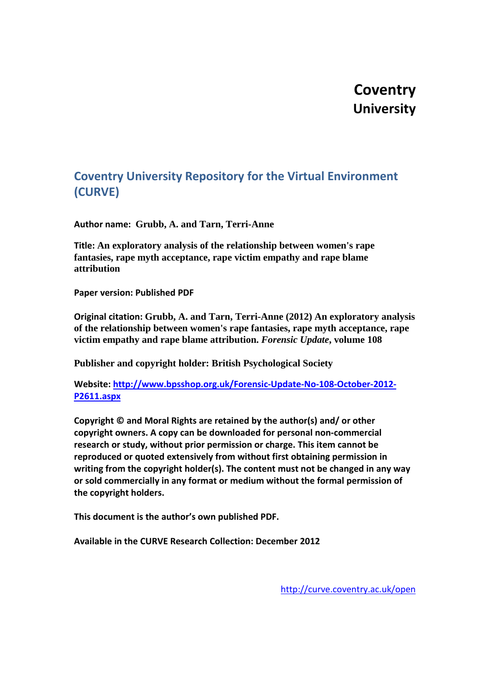# **Coventry University**

# **Coventry University Repository for the Virtual Environment (CURVE)**

**Author name: Grubb, A. and Tarn, Terri-Anne**

**Title: An exploratory analysis of the relationship between women's rape fantasies, rape myth acceptance, rape victim empathy and rape blame attribution**

**Paper version: Published PDF**

**Original citation: Grubb, A. and Tarn, Terri-Anne (2012) An exploratory analysis of the relationship between women's rape fantasies, rape myth acceptance, rape victim empathy and rape blame attribution.** *Forensic Update***, volume 108**

**Publisher and copyright holder: British Psychological Society**

**Website: [http://www.bpsshop.org.uk/Forensic-Update-No-108-October-2012-](http://www.bpsshop.org.uk/Forensic-Update-No-108-October-2012-P2611.aspx) [P2611.aspx](http://www.bpsshop.org.uk/Forensic-Update-No-108-October-2012-P2611.aspx)**

**Copyright © and Moral Rights are retained by the author(s) and/ or other copyright owners. A copy can be downloaded for personal non-commercial research or study, without prior permission or charge. This item cannot be reproduced or quoted extensively from without first obtaining permission in writing from the copyright holder(s). The content must not be changed in any way or sold commercially in any format or medium without the formal permission of the copyright holders.**

**This document is the author's own published PDF.** 

**Available in the CURVE Research Collection: December 2012**

<http://curve.coventry.ac.uk/open>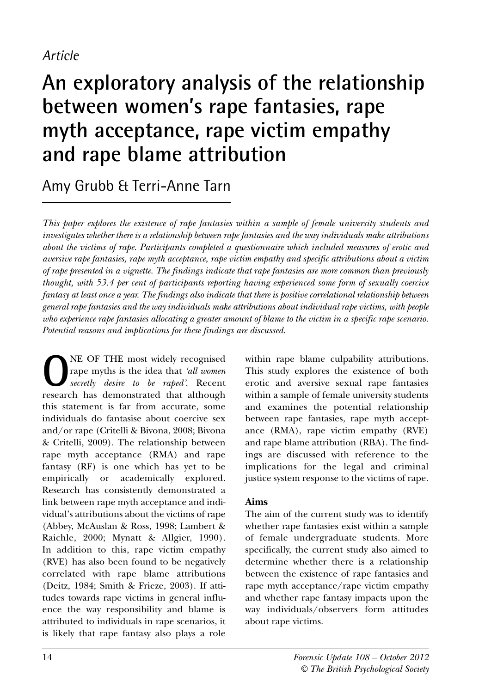## *Article*

# **An exploratory analysis of the relationship between women's rape fantasies, rape myth acceptance, rape victim empathy and rape blame attribution**

Amy Grubb & Terri-Anne Tarn

*This paper explores the existence of rape fantasies within a sample of female university students and investigates whether there is a relationship between rape fantasies and the way individuals make attributions about the victims of rape. Participants completed a questionnaire which included measures of erotic and aversive rape fantasies, rape myth acceptance, rape victim empathy and specific attributions about a victim of rape presented in a vignette. The findings indicate that rape fantasies are more common than previously thought, with 53.4 per cent of participants reporting having experienced some form of sexually coercive fantasy at least once a year. The findings also indicate that there is positive correlational relationship between general rape fantasies and the way individuals make attributions about individual rape victims, with people who experience rape fantasies allocating a greater amount of blame to the victim in a specific rape scenario. Potential reasons and implications for these findings are discussed.* 

**O**NE OF THE most widely recognised<br>
rape myths is the idea that *'all women*<br> *secretly desire to be raped'*. Recent<br>
research has demonstrated that although rape myths is the idea that *'all women* research has demonstrated that although this statement is far from accurate, some individuals do fantasise about coercive sex and/or rape (Critelli & Bivona, 2008; Bivona & Critelli, 2009). The relationship between rape myth acceptance (RMA) and rape fantasy (RF) is one which has yet to be empirically or academically explored. Research has consistently demonstrated a link between rape myth acceptance and individual's attributions about the victims of rape (Abbey, McAuslan & Ross, 1998; Lambert & Raichle, 2000; Mynatt & Allgier, 1990). In addition to this, rape victim empathy (RVE) has also been found to be negatively correlated with rape blame attributions (Deitz, 1984; Smith & Frieze, 2003). If attitudes towards rape victims in general influence the way responsibility and blame is attributed to individuals in rape scenarios, it is likely that rape fantasy also plays a role

within rape blame culpability attributions. This study explores the existence of both erotic and aversive sexual rape fantasies within a sample of female university students and examines the potential relationship between rape fantasies, rape myth acceptance (RMA), rape victim empathy (RVE) and rape blame attribution (RBA). The findings are discussed with reference to the implications for the legal and criminal justice system response to the victims of rape.

#### **Aims**

The aim of the current study was to identify whether rape fantasies exist within a sample of female undergraduate students. More specifically, the current study also aimed to determine whether there is a relationship between the existence of rape fantasies and rape myth acceptance/rape victim empathy and whether rape fantasy impacts upon the way individuals/observers form attitudes about rape victims.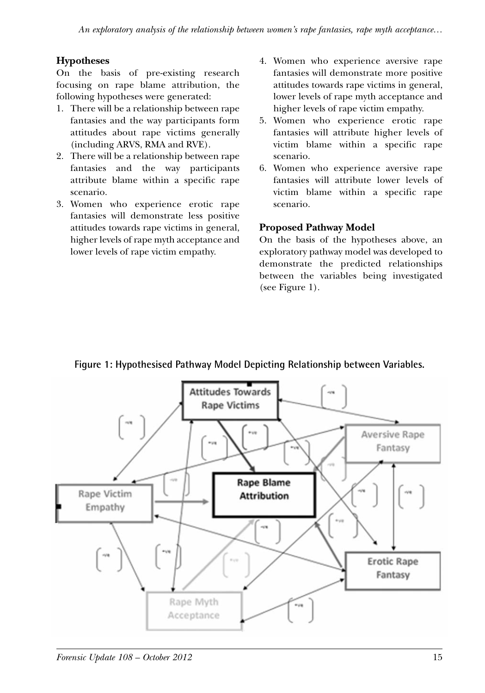### **Hypotheses**

On the basis of pre-existing research focusing on rape blame attribution, the following hypotheses were generated:

- 1. There will be a relationship between rape fantasies and the way participants form attitudes about rape victims generally (including ARVS, RMA and RVE).
- 2. There will be a relationship between rape fantasies and the way participants attribute blame within a specific rape scenario.
- 3. Women who experience erotic rape fantasies will demonstrate less positive attitudes towards rape victims in general, higher levels of rape myth acceptance and lower levels of rape victim empathy.
- 4. Women who experience aversive rape fantasies will demonstrate more positive attitudes towards rape victims in general, lower levels of rape myth acceptance and higher levels of rape victim empathy.
- 5. Women who experience erotic rape fantasies will attribute higher levels of victim blame within a specific rape scenario.
- 6. Women who experience aversive rape fantasies will attribute lower levels of victim blame within a specific rape scenario.

#### **Proposed Pathway Model**

On the basis of the hypotheses above, an exploratory pathway model was developed to demonstrate the predicted relationships between the variables being investigated (see Figure 1).



**Figure 1: Hypothesised Pathway Model Depicting Relationship between Variables.**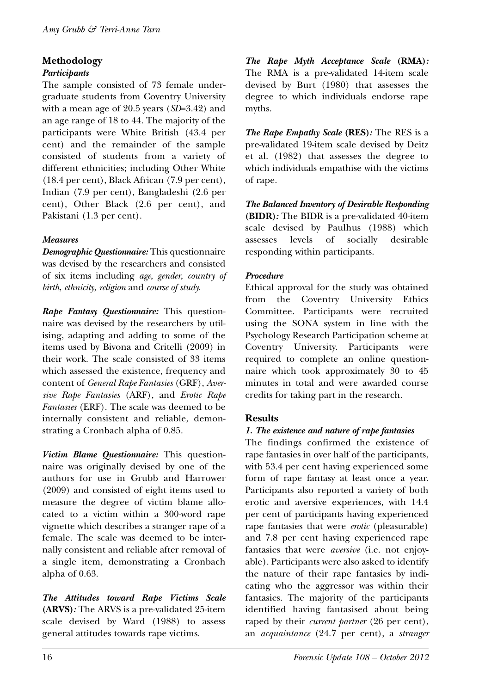#### **Methodology**

#### *Participants*

The sample consisted of 73 female undergraduate students from Coventry University with a mean age of 20.5 years (*SD*=3.42) and an age range of 18 to 44. The majority of the participants were White British (43.4 per cent) and the remainder of the sample consisted of students from a variety of different ethnicities; including Other White (18.4 per cent), Black African (7.9 per cent), Indian (7.9 per cent), Bangladeshi (2.6 per cent), Other Black (2.6 per cent), and Pakistani (1.3 per cent).

#### *Measures*

*Demographic Questionnaire:* This questionnaire was devised by the researchers and consisted of six items including *age*, *gender*, *country of birth*, *ethnicity*, *religion* and *course of study*.

*Rape Fantasy Questionnaire:* This questionnaire was devised by the researchers by utilising, adapting and adding to some of the items used by Bivona and Critelli (2009) in their work. The scale consisted of 33 items which assessed the existence, frequency and content of *General Rape Fantasies* (GRF), *Aversive Rape Fantasies* (ARF), and *Erotic Rape Fantasies* (ERF). The scale was deemed to be internally consistent and reliable, demonstrating a Cronbach alpha of 0.85.

*Victim Blame Questionnaire:* This questionnaire was originally devised by one of the authors for use in Grubb and Harrower (2009) and consisted of eight items used to measure the degree of victim blame allocated to a victim within a 300-word rape vignette which describes a stranger rape of a female. The scale was deemed to be internally consistent and reliable after removal of a single item, demonstrating a Cronbach alpha of 0.63.

*The Attitudes toward Rape Victims Scale* **(ARVS)***:* The ARVS is a pre-validated 25-item scale devised by Ward (1988) to assess general attitudes towards rape victims.

*The Rape Myth Acceptance Scale* **(RMA)***:* The RMA is a pre-validated 14-item scale devised by Burt (1980) that assesses the degree to which individuals endorse rape myths.

*The Rape Empathy Scale* **(RES)***:* The RES is a pre-validated 19-item scale devised by Deitz et al. (1982) that assesses the degree to which individuals empathise with the victims of rape.

*The Balanced Inventory of Desirable Responding* **(BIDR)***:* The BIDR is a pre-validated 40-item scale devised by Paulhus (1988) which assesses levels of socially desirable responding within participants.

#### *Procedure*

Ethical approval for the study was obtained from the Coventry University Ethics Committee. Participants were recruited using the SONA system in line with the Psychology Research Participation scheme at Coventry University. Participants were required to complete an online questionnaire which took approximately 30 to 45 minutes in total and were awarded course credits for taking part in the research.

#### **Results**

#### *1. The existence and nature of rape fantasies*

The findings confirmed the existence of rape fantasies in over half of the participants, with 53.4 per cent having experienced some form of rape fantasy at least once a year. Participants also reported a variety of both erotic and aversive experiences, with 14.4 per cent of participants having experienced rape fantasies that were *erotic* (pleasurable) and 7.8 per cent having experienced rape fantasies that were *aversive* (i.e. not enjoyable). Participants were also asked to identify the nature of their rape fantasies by indicating who the aggressor was within their fantasies. The majority of the participants identified having fantasised about being raped by their *current partner* (26 per cent), an *acquaintance* (24.7 per cent), a *stranger*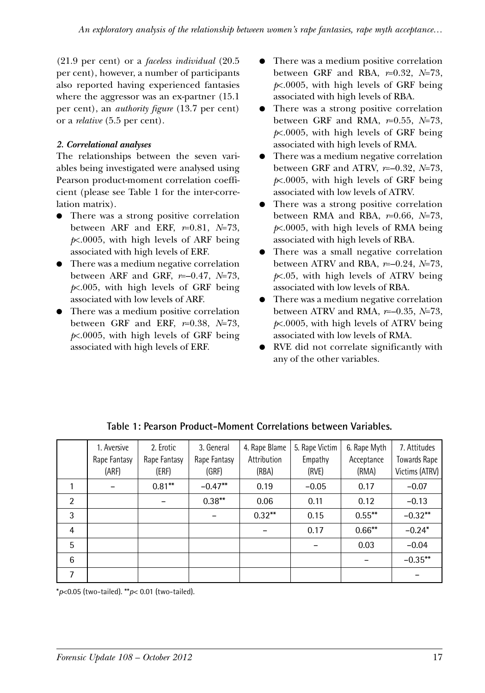(21.9 per cent) or a *faceless individual* (20.5 per cent), however, a number of participants also reported having experienced fantasies where the aggressor was an ex-partner (15.1) per cent), an *authority figure* (13.7 per cent) or a *relative* (5.5 per cent).

#### *2. Correlational analyses*

The relationships between the seven variables being investigated were analysed using Pearson product-moment correlation coefficient (please see Table 1 for the inter-correlation matrix).

- There was a strong positive correlation between ARF and ERF, *r*=0.81, *N*=73, *p*<.0005, with high levels of ARF being associated with high levels of ERF.
- There was a medium negative correlation between ARF and GRF, *r*=–0.47, *N*=73, *p*<.005, with high levels of GRF being associated with low levels of ARF.
- There was a medium positive correlation between GRF and ERF, *r*=0.38, *N*=73, *p*<.0005, with high levels of GRF being associated with high levels of ERF.
- There was a medium positive correlation between GRF and RBA, *r*=0.32, *N*=73, *p*<.0005, with high levels of GRF being associated with high levels of RBA.
- There was a strong positive correlation between GRF and RMA, *r*=0.55, *N*=73, *p*<.0005, with high levels of GRF being associated with high levels of RMA.
- There was a medium negative correlation between GRF and ATRV, *r*=–0.32, *N*=73, *p*<.0005, with high levels of GRF being associated with low levels of ATRV.
- There was a strong positive correlation between RMA and RBA, *r*=0.66, *N*=73, *p*<.0005, with high levels of RMA being associated with high levels of RBA.
- There was a small negative correlation between ATRV and RBA, *r*=–0.24, *N*=73, *p*<.05, with high levels of ATRV being associated with low levels of RBA.
- There was a medium negative correlation between ATRV and RMA, *r*=–0.35, *N*=73, *p*<.0005, with high levels of ATRV being associated with low levels of RMA.
- RVE did not correlate significantly with any of the other variables.

|   | 1. Aversive  | 2. Erotic    | 3. General   | 4. Rape Blame | 5. Rape Victim | 6. Rape Myth | 7. Attitudes        |
|---|--------------|--------------|--------------|---------------|----------------|--------------|---------------------|
|   | Rape Fantasy | Rape Fantasy | Rape Fantasy | Attribution   | Empathy        | Acceptance   | <b>Towards Rape</b> |
|   | (ARF)        | (ERF)        | (GRF)        | (RBA)         | (RVE)          | (RMA)        | Victims (ATRV)      |
|   |              | $0.81***$    | $-0.47**$    | 0.19          | $-0.05$        | 0.17         | $-0.07$             |
| 2 |              |              | $0.38***$    | 0.06          | 0.11           | 0.12         | $-0.13$             |
| 3 |              |              |              | $0.32***$     | 0.15           | $0.55***$    | $-0.32**$           |
| 4 |              |              |              |               | 0.17           | $0.66***$    | $-0.24*$            |
| 5 |              |              |              |               |                | 0.03         | $-0.04$             |
| 6 |              |              |              |               |                |              | $-0.35***$          |
| 7 |              |              |              |               |                |              |                     |

**Table 1: Pearson Product-Moment Correlations between Variables.**

\**p*<0.05 (two-tailed). \*\**p*< 0.01 (two-tailed).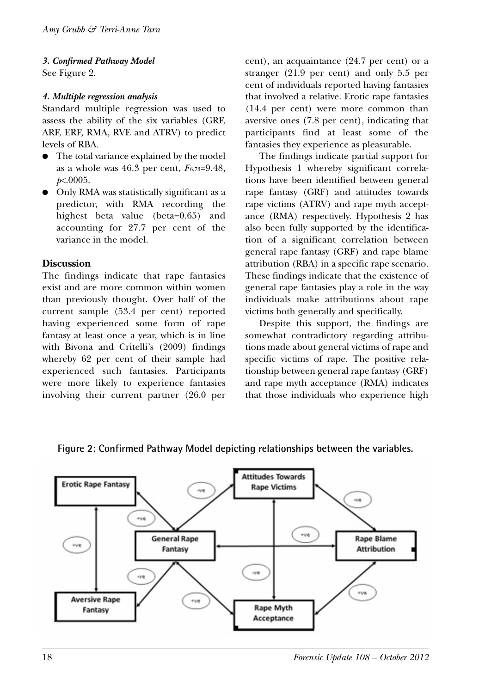## *3. Confirmed Pathway Model*

See Figure 2.

#### *4. Multiple regression analysis*

Standard multiple regression was used to assess the ability of the six variables (GRF, ARF, ERF, RMA, RVE and ATRV) to predict levels of RBA.

- The total variance explained by the model as a whole was  $46.3$  per cent,  $F_{6,73}=9.48$ , *p*<.0005.
- Only RMA was statistically significant as a predictor, with RMA recording the highest beta value (beta=0.65) and accounting for 27.7 per cent of the variance in the model.

#### **Discussion**

The findings indicate that rape fantasies exist and are more common within women than previously thought. Over half of the current sample (53.4 per cent) reported having experienced some form of rape fantasy at least once a year, which is in line with Bivona and Critelli's (2009) findings whereby 62 per cent of their sample had experienced such fantasies. Participants were more likely to experience fantasies involving their current partner (26.0 per cent), an acquaintance (24.7 per cent) or a stranger (21.9 per cent) and only 5.5 per cent of individuals reported having fantasies that involved a relative. Erotic rape fantasies (14.4 per cent) were more common than aversive ones (7.8 per cent), indicating that participants find at least some of the fantasies they experience as pleasurable.

The findings indicate partial support for Hypothesis 1 whereby significant correlations have been identified between general rape fantasy (GRF) and attitudes towards rape victims (ATRV) and rape myth acceptance (RMA) respectively. Hypothesis 2 has also been fully supported by the identification of a significant correlation between general rape fantasy (GRF) and rape blame attribution (RBA) in a specific rape scenario. These findings indicate that the existence of general rape fantasies play a role in the way individuals make attributions about rape victims both generally and specifically.

Despite this support, the findings are somewhat contradictory regarding attributions made about general victims of rape and specific victims of rape. The positive relationship between general rape fantasy (GRF) and rape myth acceptance (RMA) indicates that those individuals who experience high



**Figure 2: Confirmed Pathway Model depicting relationships between the variables.**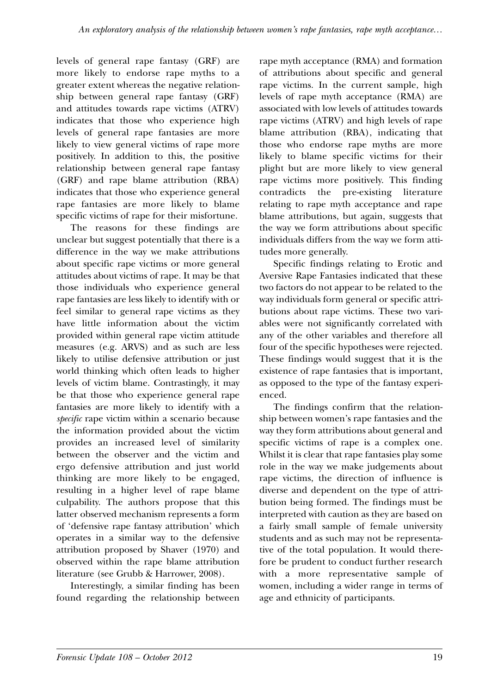levels of general rape fantasy (GRF) are more likely to endorse rape myths to a greater extent whereas the negative relationship between general rape fantasy (GRF) and attitudes towards rape victims (ATRV) indicates that those who experience high levels of general rape fantasies are more likely to view general victims of rape more positively. In addition to this, the positive relationship between general rape fantasy (GRF) and rape blame attribution (RBA) indicates that those who experience general rape fantasies are more likely to blame specific victims of rape for their misfortune.

The reasons for these findings are unclear but suggest potentially that there is a difference in the way we make attributions about specific rape victims or more general attitudes about victims of rape. It may be that those individuals who experience general rape fantasies are less likely to identify with or feel similar to general rape victims as they have little information about the victim provided within general rape victim attitude measures (e.g. ARVS) and as such are less likely to utilise defensive attribution or just world thinking which often leads to higher levels of victim blame. Contrastingly, it may be that those who experience general rape fantasies are more likely to identify with a *specific* rape victim within a scenario because the information provided about the victim provides an increased level of similarity between the observer and the victim and ergo defensive attribution and just world thinking are more likely to be engaged, resulting in a higher level of rape blame culpability. The authors propose that this latter observed mechanism represents a form of 'defensive rape fantasy attribution' which operates in a similar way to the defensive attribution proposed by Shaver (1970) and observed within the rape blame attribution literature (see Grubb & Harrower, 2008).

Interestingly, a similar finding has been found regarding the relationship between

rape myth acceptance (RMA) and formation of attributions about specific and general rape victims. In the current sample, high levels of rape myth acceptance (RMA) are associated with low levels of attitudes towards rape victims (ATRV) and high levels of rape blame attribution (RBA), indicating that those who endorse rape myths are more likely to blame specific victims for their plight but are more likely to view general rape victims more positively. This finding contradicts the pre-existing literature relating to rape myth acceptance and rape blame attributions, but again, suggests that the way we form attributions about specific individuals differs from the way we form attitudes more generally.

Specific findings relating to Erotic and Aversive Rape Fantasies indicated that these two factors do not appear to be related to the way individuals form general or specific attributions about rape victims. These two variables were not significantly correlated with any of the other variables and therefore all four of the specific hypotheses were rejected. These findings would suggest that it is the existence of rape fantasies that is important, as opposed to the type of the fantasy experienced.

The findings confirm that the relationship between women's rape fantasies and the way they form attributions about general and specific victims of rape is a complex one. Whilst it is clear that rape fantasies play some role in the way we make judgements about rape victims, the direction of influence is diverse and dependent on the type of attribution being formed. The findings must be interpreted with caution as they are based on a fairly small sample of female university students and as such may not be representative of the total population. It would therefore be prudent to conduct further research with a more representative sample of women, including a wider range in terms of age and ethnicity of participants.